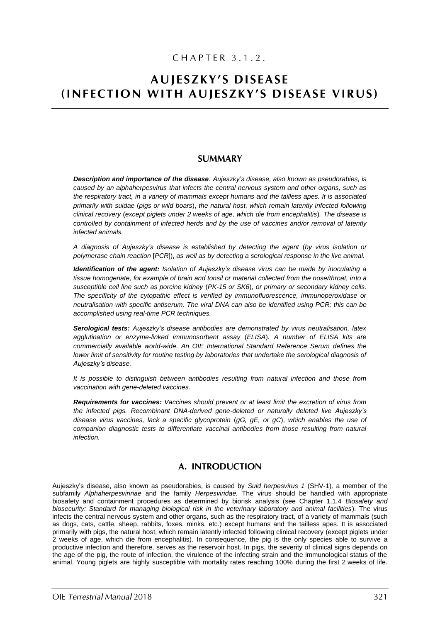# CHAPTER 3.1.2.

# **AUJESZKY'S DISEASE** (INFECTION WITH AUJESZKY'S DISEASE VIRUS)

# **SUMMARY**

*Description and importance of the disease: Aujeszky's disease, also known as pseudorabies, is caused by an alphaherpesvirus that infects the central nervous system and other organs, such as the respiratory tract, in a variety of mammals except humans and the tailless apes. It is associated primarily with suidae* (*pigs or wild boars*), *the natural host, which remain latently infected following clinical recovery* (*except piglets under 2 weeks of age, which die from encephalitis*)*. The disease is controlled by containment of infected herds and by the use of vaccines and/or removal of latently infected animals.*

*A diagnosis of Aujeszky's disease is established by detecting the agent* (*by virus isolation or polymerase chain reaction* [*PCR*]), *as well as by detecting a serological response in the live animal.*

*Identification of the agent: Isolation of Aujeszky's disease virus can be made by inoculating a tissue homogenate, for example of brain and tonsil or material collected from the nose/throat, into a susceptible cell line such as porcine kidney* (*PK-15 or SK6*), *or primary or secondary kidney cells. The specificity of the cytopathic effect is verified by immunofluorescence, immunoperoxidase or neutralisation with specific antiserum. The viral DNA can also be identified using PCR; this can be accomplished using real-time PCR techniques.* 

*Serological tests: Aujeszky's disease antibodies are demonstrated by virus neutralisation, latex agglutination or enzyme-linked immunosorbent assay* (*ELISA*)*. A number of ELISA kits are commercially available world-wide. An OIE International Standard Reference Serum defines the lower limit of sensitivity for routine testing by laboratories that undertake the serological diagnosis of Aujeszky's disease.*

*It is possible to distinguish between antibodies resulting from natural infection and those from vaccination with gene-deleted vaccines.*

*Requirements for vaccines: Vaccines should prevent or at least limit the excretion of virus from the infected pigs. Recombinant DNA-derived gene-deleted or naturally deleted live Aujeszky's disease virus vaccines, lack a specific glycoprotein* (*gG, gE, or gC*), *which enables the use of companion diagnostic tests to differentiate vaccinal antibodies from those resulting from natural infection.*

# A. INTRODUCTION

Aujeszky's disease, also known as pseudorabies, is caused by *Suid herpesvirus 1* (SHV-1)*,* a member of the subfamily *Alphaherpesvirinae* and the family *Herpesviridae.* The virus should be handled with appropriate biosafety and containment procedures as determined by biorisk analysis (see Chapter 1.1.4 *Biosafety and biosecurity: Standard for managing biological risk in the veterinary laboratory and animal facilities*). The virus infects the central nervous system and other organs, such as the respiratory tract, of a variety of mammals (such as dogs, cats, cattle, sheep, rabbits, foxes, minks, etc.) except humans and the tailless apes. It is associated primarily with pigs, the natural host, which remain latently infected following clinical recovery (except piglets under 2 weeks of age, which die from encephalitis). In consequence, the pig is the only species able to survive a productive infection and therefore, serves as the reservoir host. In pigs, the severity of clinical signs depends on the age of the pig, the route of infection, the virulence of the infecting strain and the immunological status of the animal. Young piglets are highly susceptible with mortality rates reaching 100% during the first 2 weeks of life.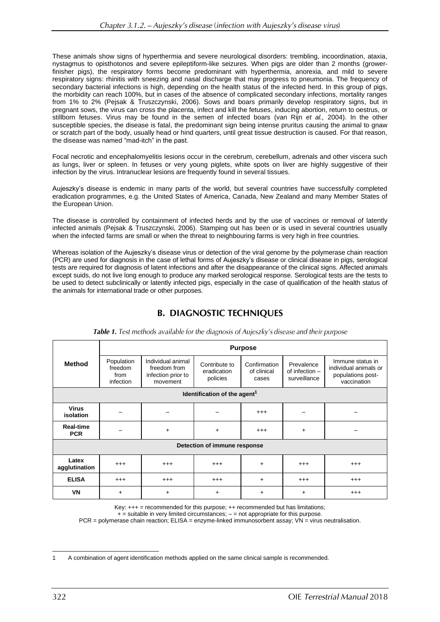These animals show signs of hyperthermia and severe neurological disorders: trembling, incoordination, ataxia, nystagmus to opisthotonos and severe epileptiform-like seizures. When pigs are older than 2 months (growerfinisher pigs), the respiratory forms become predominant with hyperthermia, anorexia, and mild to severe respiratory signs: rhinitis with sneezing and nasal discharge that may progress to pneumonia. The frequency of secondary bacterial infections is high, depending on the health status of the infected herd. In this group of pigs, the morbidity can reach 100%, but in cases of the absence of complicated secondary infections, mortality ranges from 1% to 2% (Pejsak & Truszczynski, 2006). Sows and boars primarily develop respiratory signs, but in pregnant sows, the virus can cross the placenta, infect and kill the fetuses, inducing abortion, return to oestrus, or stillborn fetuses. Virus may be found in the semen of infected boars (van Rijn *et al.,* 2004). In the other susceptible species, the disease is fatal, the predominant sign being intense pruritus causing the animal to gnaw or scratch part of the body, usually head or hind quarters, until great tissue destruction is caused. For that reason, the disease was named "mad-itch" in the past.

Focal necrotic and encephalomyelitis lesions occur in the cerebrum, cerebellum, adrenals and other viscera such as lungs, liver or spleen. In fetuses or very young piglets, white spots on liver are highly suggestive of their infection by the virus. Intranuclear lesions are frequently found in several tissues.

Aujeszky's disease is endemic in many parts of the world, but several countries have successfully completed eradication programmes, e.g. the United States of America, Canada, New Zealand and many Member States of the European Union.

The disease is controlled by containment of infected herds and by the use of vaccines or removal of latently infected animals (Pejsak & Truszczynski, 2006). Stamping out has been or is used in several countries usually when the infected farms are small or when the threat to neighbouring farms is very high in free countries.

Whereas isolation of the Aujeszky's disease virus or detection of the viral genome by the polymerase chain reaction (PCR) are used for diagnosis in the case of lethal forms of Aujeszky's disease or clinical disease in pigs, serological tests are required for diagnosis of latent infections and after the disappearance of the clinical signs. Affected animals except suids, do not live long enough to produce any marked serological response. Serological tests are the tests to be used to detect subclinically or latently infected pigs, especially in the case of qualification of the health status of the animals for international trade or other purposes.

# **B. DIAGNOSTIC TECHNIQUES**

| <b>Method</b>                            | <b>Purpose</b>                             |                                                                     |                                          |                                      |                                                |                                                                               |
|------------------------------------------|--------------------------------------------|---------------------------------------------------------------------|------------------------------------------|--------------------------------------|------------------------------------------------|-------------------------------------------------------------------------------|
|                                          | Population<br>freedom<br>from<br>infection | Individual animal<br>freedom from<br>infection prior to<br>movement | Contribute to<br>eradication<br>policies | Confirmation<br>of clinical<br>cases | Prevalence<br>of infection $-$<br>surveillance | Immune status in<br>individual animals or<br>populations post-<br>vaccination |
| Identification of the agent <sup>1</sup> |                                            |                                                                     |                                          |                                      |                                                |                                                                               |
| <b>Virus</b><br><i>isolation</i>         |                                            |                                                                     |                                          | $^{+++}$                             |                                                |                                                                               |
| Real-time<br><b>PCR</b>                  |                                            | $+$                                                                 | $+$                                      | $^{+++}$                             | $\ddot{}$                                      |                                                                               |
| Detection of immune response             |                                            |                                                                     |                                          |                                      |                                                |                                                                               |
| Latex<br>agglutination                   | $^{+++}$                                   | $^{++}$                                                             | $^{+++}$                                 | $+$                                  | $^{+++}$                                       | $^{+++}$                                                                      |
| <b>ELISA</b>                             | $^{+++}$                                   | $^{+++}$                                                            | $^{+++}$                                 | $+$                                  | $^{+++}$                                       | $^{+++}$                                                                      |
| VN                                       | $\ddot{}$                                  | $\ddot{}$                                                           | +                                        | $\ddot{}$                            | $\ddot{}$                                      | $^{++}$                                                                       |

Table 1. Test methods available for the diagnosis of Aujeszky's disease and their purpose

Key: +++ = recommended for this purpose; ++ recommended but has limitations;

 $+$  = suitable in very limited circumstances;  $-$  = not appropriate for this purpose. PCR = polymerase chain reaction; ELISA = enzyme-linked immunosorbent assay; VN = virus neutralisation.

<sup>1</sup> A combination of agent identification methods applied on the same clinical sample is recommended.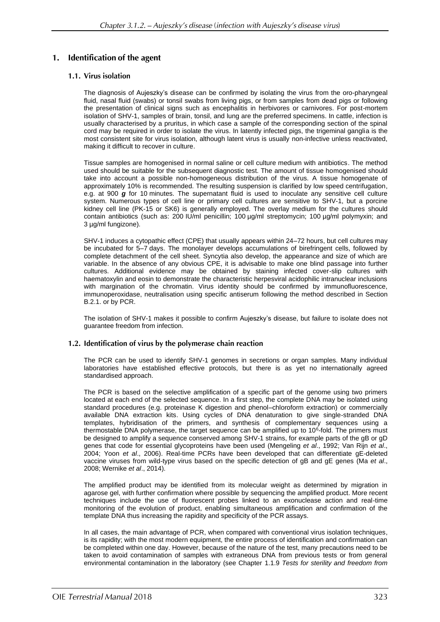#### Identification of the agent  $1.$

# 1.1. Virus isolation

The diagnosis of Aujeszky's disease can be confirmed by isolating the virus from the oro-pharyngeal fluid, nasal fluid (swabs) or tonsil swabs from living pigs, or from samples from dead pigs or following the presentation of clinical signs such as encephalitis in herbivores or carnivores. For post-mortem isolation of SHV-1, samples of brain, tonsil, and lung are the preferred specimens. In cattle, infection is usually characterised by a pruritus, in which case a sample of the corresponding section of the spinal cord may be required in order to isolate the virus. In latently infected pigs, the trigeminal ganglia is the most consistent site for virus isolation, although latent virus is usually non-infective unless reactivated, making it difficult to recover in culture.

Tissue samples are homogenised in normal saline or cell culture medium with antibiotics. The method used should be suitable for the subsequent diagnostic test. The amount of tissue homogenised should take into account a possible non-homogeneous distribution of the virus. A tissue homogenate of approximately 10% is recommended. The resulting suspension is clarified by low speed centrifugation, e.g. at 900 *g* for 10 minutes. The supernatant fluid is used to inoculate any sensitive cell culture system. Numerous types of cell line or primary cell cultures are sensitive to SHV-1, but a porcine kidney cell line (PK-15 or SK6) is generally employed. The overlay medium for the cultures should contain antibiotics (such as: 200 IU/ml penicillin; 100 µg/ml streptomycin; 100 µg/ml polymyxin; and 3 µg/ml fungizone).

SHV-1 induces a cytopathic effect (CPE) that usually appears within 24–72 hours, but cell cultures may be incubated for 5–7 days. The monolayer develops accumulations of birefringent cells, followed by complete detachment of the cell sheet. Syncytia also develop, the appearance and size of which are variable. In the absence of any obvious CPE, it is advisable to make one blind passage into further cultures. Additional evidence may be obtained by staining infected cover-slip cultures with haematoxylin and eosin to demonstrate the characteristic herpesviral acidophilic intranuclear inclusions with margination of the chromatin. Virus identity should be confirmed by immunofluorescence, immunoperoxidase, neutralisation using specific antiserum following the method described in Section B.2.1. or by PCR.

The isolation of SHV-1 makes it possible to confirm Aujeszky's disease, but failure to isolate does not guarantee freedom from infection.

# 1.2. Identification of virus by the polymerase chain reaction

The PCR can be used to identify SHV-1 genomes in secretions or organ samples. Many individual laboratories have established effective protocols, but there is as yet no internationally agreed standardised approach.

The PCR is based on the selective amplification of a specific part of the genome using two primers located at each end of the selected sequence. In a first step, the complete DNA may be isolated using standard procedures (e.g. proteinase K digestion and phenol–chloroform extraction) or commercially available DNA extraction kits. Using cycles of DNA denaturation to give single-stranded DNA templates, hybridisation of the primers, and synthesis of complementary sequences using a thermostable DNA polymerase, the target sequence can be amplified up to 10<sup>6</sup>-fold. The primers must be designed to amplify a sequence conserved among SHV-1 strains, for example parts of the gB or gD genes that code for essential glycoproteins have been used (Mengeling *et al*., 1992; Van Rijn *et al*., 2004; Yoon *et al*., 2006). Real-time PCRs have been developed that can differentiate gE-deleted vaccine viruses from wild-type virus based on the specific detection of gB and gE genes (Ma *et al*., 2008; Wernike *et al*., 2014).

The amplified product may be identified from its molecular weight as determined by migration in agarose gel, with further confirmation where possible by sequencing the amplified product. More recent techniques include the use of fluorescent probes linked to an exonuclease action and real-time monitoring of the evolution of product, enabling simultaneous amplification and confirmation of the template DNA thus increasing the rapidity and specificity of the PCR assays.

In all cases, the main advantage of PCR, when compared with conventional virus isolation techniques, is its rapidity; with the most modern equipment, the entire process of identification and confirmation can be completed within one day. However, because of the nature of the test, many precautions need to be taken to avoid contamination of samples with extraneous DNA from previous tests or from general environmental contamination in the laboratory (see Chapter 1.1.9 *Tests for sterility and freedom from*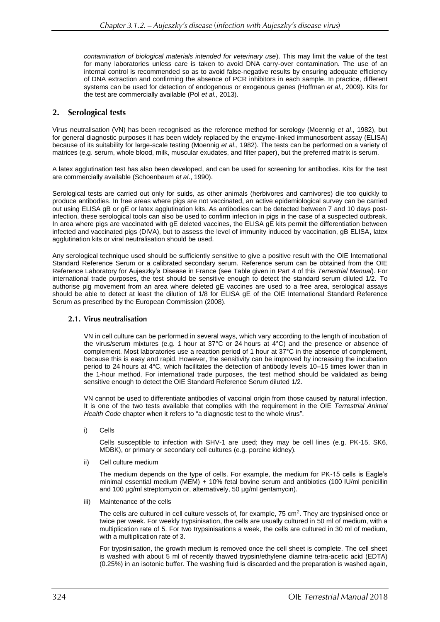*contamination of biological materials intended for veterinary use*). This may limit the value of the test for many laboratories unless care is taken to avoid DNA carry-over contamination. The use of an internal control is recommended so as to avoid false-negative results by ensuring adequate efficiency of DNA extraction and confirming the absence of PCR inhibitors in each sample. In practice, different systems can be used for detection of endogenous or exogenous genes (Hoffman *et al.,* 2009). Kits for the test are commercially available (Pol *et al.,* 2013).

# 2. Serological tests

Virus neutralisation (VN) has been recognised as the reference method for serology (Moennig *et al*., 1982), but for general diagnostic purposes it has been widely replaced by the enzyme-linked immunosorbent assay (ELISA) because of its suitability for large-scale testing (Moennig *et al*., 1982). The tests can be performed on a variety of matrices (e.g. serum, whole blood, milk, muscular exudates, and filter paper), but the preferred matrix is serum.

A latex agglutination test has also been developed, and can be used for screening for antibodies. Kits for the test are commercially available (Schoenbaum *et al*., 1990).

Serological tests are carried out only for suids, as other animals (herbivores and carnivores) die too quickly to produce antibodies. In free areas where pigs are not vaccinated, an active epidemiological survey can be carried out using ELISA gB or gE or latex agglutination kits. As antibodies can be detected between 7 and 10 days postinfection, these serological tools can also be used to confirm infection in pigs in the case of a suspected outbreak. In area where pigs are vaccinated with gE deleted vaccines, the ELISA gE kits permit the differentiation between infected and vaccinated pigs (DIVA), but to assess the level of immunity induced by vaccination, gB ELISA, latex agglutination kits or viral neutralisation should be used.

Any serological technique used should be sufficiently sensitive to give a positive result with the OIE International Standard Reference Serum or a calibrated secondary serum. Reference serum can be obtained from the OIE Reference Laboratory for Aujeszky's Disease in France (see Table given in Part 4 of this *Terrestrial Manual*). For international trade purposes, the test should be sensitive enough to detect the standard serum diluted 1/2. To authorise pig movement from an area where deleted gE vaccines are used to a free area, serological assays should be able to detect at least the dilution of 1/8 for ELISA gE of the OIE International Standard Reference Serum as prescribed by the European Commission (2008).

#### 2.1. Virus neutralisation

VN in cell culture can be performed in several ways, which vary according to the length of incubation of the virus/serum mixtures (e.g. 1 hour at 37°C or 24 hours at 4°C) and the presence or absence of complement. Most laboratories use a reaction period of 1 hour at 37°C in the absence of complement, because this is easy and rapid. However, the sensitivity can be improved by increasing the incubation period to 24 hours at 4°C, which facilitates the detection of antibody levels 10–15 times lower than in the 1-hour method. For international trade purposes, the test method should be validated as being sensitive enough to detect the OIE Standard Reference Serum diluted 1/2.

VN cannot be used to differentiate antibodies of vaccinal origin from those caused by natural infection. It is one of the two tests available that complies with the requirement in the OIE *Terrestrial Animal Health Code* chapter when it refers to "a diagnostic test to the whole virus".

i) Cells

Cells susceptible to infection with SHV-1 are used; they may be cell lines (e.g. PK-15, SK6, MDBK), or primary or secondary cell cultures (e.g. porcine kidney).

ii) Cell culture medium

The medium depends on the type of cells. For example, the medium for PK-15 cells is Eagle's minimal essential medium (MEM) + 10% fetal bovine serum and antibiotics (100 IU/ml penicillin and 100 µg/ml streptomycin or, alternatively, 50 µg/ml gentamycin).

iii) Maintenance of the cells

The cells are cultured in cell culture vessels of, for example, 75 cm<sup>2</sup>. They are trypsinised once or twice per week. For weekly trypsinisation, the cells are usually cultured in 50 ml of medium, with a multiplication rate of 5. For two trypsinisations a week, the cells are cultured in 30 ml of medium, with a multiplication rate of 3.

For trypsinisation, the growth medium is removed once the cell sheet is complete. The cell sheet is washed with about 5 ml of recently thawed trypsin/ethylene diamine tetra-acetic acid (EDTA) (0.25%) in an isotonic buffer. The washing fluid is discarded and the preparation is washed again,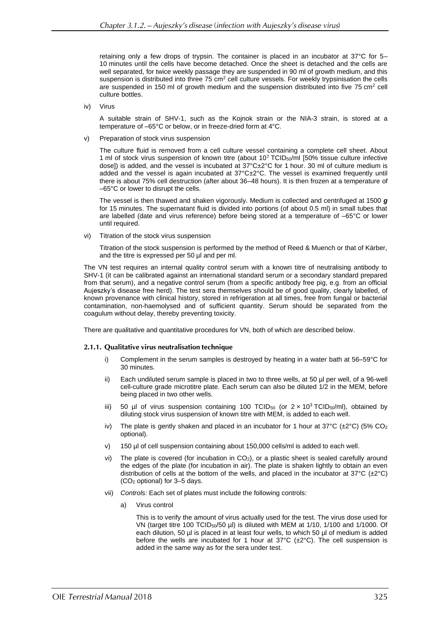retaining only a few drops of trypsin. The container is placed in an incubator at 37°C for 5– 10 minutes until the cells have become detached. Once the sheet is detached and the cells are well separated, for twice weekly passage they are suspended in 90 ml of growth medium, and this suspension is distributed into three  $75 \text{ cm}^2$  cell culture vessels. For weekly trypsinisation the cells are suspended in 150 ml of growth medium and the suspension distributed into five  $75 \text{ cm}^2$  cell culture bottles.

iv) Virus

A suitable strain of SHV-1, such as the Kojnok strain or the NIA-3 strain, is stored at a temperature of –65°C or below, or in freeze-dried form at 4°C.

Preparation of stock virus suspension

The culture fluid is removed from a cell culture vessel containing a complete cell sheet. About 1 ml of stock virus suspension of known titre (about  $10^7$  TCID<sub>50</sub>/ml [50% tissue culture infective dose]) is added, and the vessel is incubated at 37°C±2°C for 1 hour. 30 ml of culture medium is added and the vessel is again incubated at 37°C±2°C. The vessel is examined frequently until there is about 75% cell destruction (after about 36–48 hours). It is then frozen at a temperature of –65°C or lower to disrupt the cells.

The vessel is then thawed and shaken vigorously. Medium is collected and centrifuged at 1500 *g* for 15 minutes. The supernatant fluid is divided into portions (of about 0.5 ml) in small tubes that are labelled (date and virus reference) before being stored at a temperature of –65°C or lower until required.

vi) Titration of the stock virus suspension

Titration of the stock suspension is performed by the method of Reed & Muench or that of Kärber, and the titre is expressed per 50 µl and per ml.

The VN test requires an internal quality control serum with a known titre of neutralising antibody to SHV-1 (it can be calibrated against an international standard serum or a secondary standard prepared from that serum), and a negative control serum (from a specific antibody free pig, e.g. from an official Aujeszky's disease free herd). The test sera themselves should be of good quality, clearly labelled, of known provenance with clinical history, stored in refrigeration at all times, free from fungal or bacterial contamination, non-haemolysed and of sufficient quantity. Serum should be separated from the coagulum without delay, thereby preventing toxicity.

There are qualitative and quantitative procedures for VN, both of which are described below.

# 2.1.1. Qualitative virus neutralisation technique

- i) Complement in the serum samples is destroyed by heating in a water bath at 56–59°C for 30 minutes.
- Each undiluted serum sample is placed in two to three wells, at 50 µl per well, of a 96-well cell-culture grade microtitre plate. Each serum can also be diluted 1/2 in the MEM, before being placed in two other wells.
- iii) 50 µl of virus suspension containing 100 TCID<sub>50</sub> (or  $2 \times 10^3$  TCID<sub>50</sub>/ml), obtained by diluting stock virus suspension of known titre with MEM, is added to each well.
- iv) The plate is gently shaken and placed in an incubator for 1 hour at  $37^{\circ}C$  ( $\pm 2^{\circ}C$ ) (5% CO<sub>2</sub> optional).
- v) 150 µl of cell suspension containing about 150,000 cells/ml is added to each well.
- vi) The plate is covered (for incubation in  $CO<sub>2</sub>$ ), or a plastic sheet is sealed carefully around the edges of the plate (for incubation in air). The plate is shaken lightly to obtain an even distribution of cells at the bottom of the wells, and placed in the incubator at  $37^{\circ}C$  ( $\pm 2^{\circ}C$ ) (CO<sup>2</sup> optional) for 3–5 days.
- vii) *Controls:* Each set of plates must include the following controls:
	- a) Virus control

This is to verify the amount of virus actually used for the test. The virus dose used for VN (target titre 100 TCID<sub>50</sub>/50 µl) is diluted with MEM at 1/10, 1/100 and 1/1000. Of each dilution, 50 µl is placed in at least four wells, to which 50 µl of medium is added before the wells are incubated for 1 hour at  $37^{\circ}C$  ( $\pm 2^{\circ}C$ ). The cell suspension is added in the same way as for the sera under test.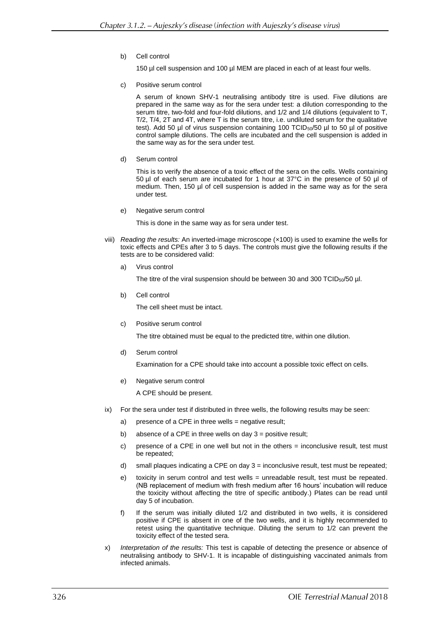b) Cell control

150 µl cell suspension and 100 µl MEM are placed in each of at least four wells.

c) Positive serum control

A serum of known SHV-1 neutralising antibody titre is used. Five dilutions are prepared in the same way as for the sera under test: a dilution corresponding to the serum titre, two-fold and four-fold dilutions, and 1/2 and 1/4 dilutions (equivalent to T, T/2, T/4, 2T and 4T, where T is the serum titre, i.e. undiluted serum for the qualitative test). Add 50 µl of virus suspension containing 100 TCID<sub>50</sub>/50 µl to 50 µl of positive control sample dilutions. The cells are incubated and the cell suspension is added in the same way as for the sera under test.

d) Serum control

This is to verify the absence of a toxic effect of the sera on the cells. Wells containing 50 µl of each serum are incubated for 1 hour at 37°C in the presence of 50 µl of medium. Then, 150 µl of cell suspension is added in the same way as for the sera under test.

e) Negative serum control

This is done in the same way as for sera under test.

- viii) *Reading the results:* An inverted-image microscope (×100) is used to examine the wells for toxic effects and CPEs after 3 to 5 days. The controls must give the following results if the tests are to be considered valid:
	- a) Virus control

The titre of the viral suspension should be between 30 and 300 TCID $_{50}$ /50  $\mu$ l.

b) Cell control

The cell sheet must be intact.

c) Positive serum control

The titre obtained must be equal to the predicted titre, within one dilution.

d) Serum control

Examination for a CPE should take into account a possible toxic effect on cells.

e) Negative serum control

A CPE should be present.

- ix) For the sera under test if distributed in three wells, the following results may be seen:
	- a) presence of a CPE in three wells = negative result;
	- b) absence of a CPE in three wells on day 3 = positive result;
	- c) presence of a CPE in one well but not in the others  $=$  inconclusive result, test must be repeated;
	- d) small plaques indicating a CPE on day  $3 =$  inconclusive result, test must be repeated;
	- e) toxicity in serum control and test wells = unreadable result, test must be repeated. (NB replacement of medium with fresh medium after 16 hours' incubation will reduce the toxicity without affecting the titre of specific antibody.) Plates can be read until day 5 of incubation.
	- f) If the serum was initially diluted 1/2 and distributed in two wells, it is considered positive if CPE is absent in one of the two wells, and it is highly recommended to retest using the quantitative technique. Diluting the serum to 1/2 can prevent the toxicity effect of the tested sera.
- x) *Interpretation of the results:* This test is capable of detecting the presence or absence of neutralising antibody to SHV-1. It is incapable of distinguishing vaccinated animals from infected animals.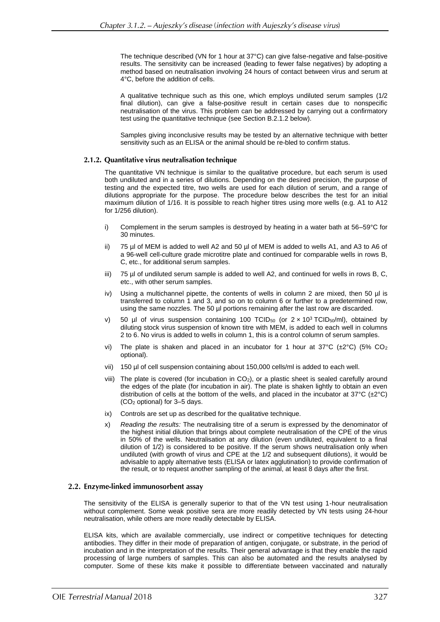The technique described (VN for 1 hour at 37°C) can give false-negative and false-positive results. The sensitivity can be increased (leading to fewer false negatives) by adopting a method based on neutralisation involving 24 hours of contact between virus and serum at 4°C, before the addition of cells.

A qualitative technique such as this one, which employs undiluted serum samples (1/2 final dilution), can give a false-positive result in certain cases due to nonspecific neutralisation of the virus. This problem can be addressed by carrying out a confirmatory test using the quantitative technique (see Section B.2.1.2 below).

Samples giving inconclusive results may be tested by an alternative technique with better sensitivity such as an ELISA or the animal should be re-bled to confirm status.

### 2.1.2. Quantitative virus neutralisation technique

The quantitative VN technique is similar to the qualitative procedure, but each serum is used both undiluted and in a series of dilutions. Depending on the desired precision, the purpose of testing and the expected titre, two wells are used for each dilution of serum, and a range of dilutions appropriate for the purpose. The procedure below describes the test for an initial maximum dilution of 1/16. It is possible to reach higher titres using more wells (e.g. A1 to A12 for 1/256 dilution).

- i) Complement in the serum samples is destroyed by heating in a water bath at 56–59°C for 30 minutes.
- ii) 75 µl of MEM is added to well A2 and 50 µl of MEM is added to wells A1, and A3 to A6 of a 96-well cell-culture grade microtitre plate and continued for comparable wells in rows B, C, etc., for additional serum samples.
- iii) 75 µl of undiluted serum sample is added to well A2, and continued for wells in rows B, C, etc., with other serum samples.
- iv) Using a multichannel pipette, the contents of wells in column 2 are mixed, then 50 µl is transferred to column 1 and 3, and so on to column 6 or further to a predetermined row, using the same nozzles. The 50 µl portions remaining after the last row are discarded.
- v) 50 µl of virus suspension containing 100 TCID<sub>50</sub> (or  $2 \times 10^3$  TCID<sub>50</sub>/ml), obtained by diluting stock virus suspension of known titre with MEM, is added to each well in columns 2 to 6. No virus is added to wells in column 1, this is a control column of serum samples.
- vi) The plate is shaken and placed in an incubator for 1 hour at  $37^{\circ}C$  ( $\pm 2^{\circ}C$ ) (5% CO<sub>2</sub> optional).
- vii) 150 µl of cell suspension containing about 150,000 cells/ml is added to each well.
- viii) The plate is covered (for incubation in CO<sub>2</sub>), or a plastic sheet is sealed carefully around the edges of the plate (for incubation in air). The plate is shaken lightly to obtain an even distribution of cells at the bottom of the wells, and placed in the incubator at  $37^{\circ}C$  ( $\pm 2^{\circ}C$ ) (CO<sup>2</sup> optional) for 3–5 days.
- ix) Controls are set up as described for the qualitative technique.
- x) *Reading the results:* The neutralising titre of a serum is expressed by the denominator of the highest initial dilution that brings about complete neutralisation of the CPE of the virus in 50% of the wells. Neutralisation at any dilution (even undiluted, equivalent to a final dilution of 1/2) is considered to be positive. If the serum shows neutralisation only when undiluted (with growth of virus and CPE at the 1/2 and subsequent dilutions), it would be advisable to apply alternative tests (ELISA or latex agglutination) to provide confirmation of the result, or to request another sampling of the animal, at least 8 days after the first.

#### 2.2. Enzyme-linked immunosorbent assay

The sensitivity of the ELISA is generally superior to that of the VN test using 1-hour neutralisation without complement. Some weak positive sera are more readily detected by VN tests using 24-hour neutralisation, while others are more readily detectable by ELISA.

ELISA kits, which are available commercially, use indirect or competitive techniques for detecting antibodies. They differ in their mode of preparation of antigen, conjugate, or substrate, in the period of incubation and in the interpretation of the results. Their general advantage is that they enable the rapid processing of large numbers of samples. This can also be automated and the results analysed by computer. Some of these kits make it possible to differentiate between vaccinated and naturally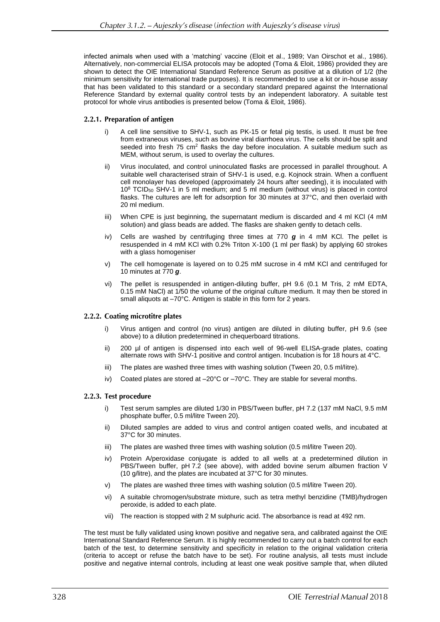infected animals when used with a 'matching' vaccine (Eloit et al., 1989; Van Oirschot et al., 1986). Alternatively, non-commercial ELISA protocols may be adopted (Toma & Eloit, 1986) provided they are shown to detect the OIE International Standard Reference Serum as positive at a dilution of 1/2 (the minimum sensitivity for international trade purposes). It is recommended to use a kit or in-house assay that has been validated to this standard or a secondary standard prepared against the International Reference Standard by external quality control tests by an independent laboratory. A suitable test protocol for whole virus antibodies is presented below (Toma & Eloit, 1986).

### 2.2.1. Preparation of antigen

- i) A cell line sensitive to SHV-1, such as PK-15 or fetal pig testis, is used. It must be free from extraneous viruses, such as bovine viral diarrhoea virus. The cells should be split and seeded into fresh 75  $\text{cm}^2$  flasks the day before inoculation. A suitable medium such as MEM, without serum, is used to overlay the cultures.
- ii) Virus inoculated, and control uninoculated flasks are processed in parallel throughout. A suitable well characterised strain of SHV-1 is used, e.g. Kojnock strain. When a confluent cell monolayer has developed (approximately 24 hours after seeding), it is inoculated with 10<sup>8</sup> TCID<sup>50</sup> SHV-1 in 5 ml medium; and 5 ml medium (without virus) is placed in control flasks. The cultures are left for adsorption for 30 minutes at 37°C, and then overlaid with 20 ml medium.
- iii) When CPE is just beginning, the supernatant medium is discarded and 4 ml KCl (4 mM solution) and glass beads are added. The flasks are shaken gently to detach cells.
- iv) Cells are washed by centrifuging three times at 770 *g* in 4 mM KCl. The pellet is resuspended in 4 mM KCl with 0.2% Triton X-100 (1 ml per flask) by applying 60 strokes with a glass homogeniser
- v) The cell homogenate is layered on to 0.25 mM sucrose in 4 mM KCl and centrifuged for 10 minutes at 770 *g*.
- vi) The pellet is resuspended in antigen-diluting buffer, pH 9.6 (0.1 M Tris, 2 mM EDTA, 0.15 mM NaCl) at 1/50 the volume of the original culture medium. It may then be stored in small aliquots at –70°C. Antigen is stable in this form for 2 years.

#### 2.2.2. Coating microtitre plates

- i) Virus antigen and control (no virus) antigen are diluted in diluting buffer, pH 9.6 (see above) to a dilution predetermined in chequerboard titrations.
- ii) 200 µl of antigen is dispensed into each well of 96-well ELISA-grade plates, coating alternate rows with SHV-1 positive and control antigen. Incubation is for 18 hours at 4°C.
- iii) The plates are washed three times with washing solution (Tween 20, 0.5 ml/litre).
- iv) Coated plates are stored at  $-20^{\circ}$ C or  $-70^{\circ}$ C. They are stable for several months.

#### 2.2.3. Test procedure

- i) Test serum samples are diluted 1/30 in PBS/Tween buffer, pH 7.2 (137 mM NaCl, 9.5 mM phosphate buffer, 0.5 ml/litre Tween 20).
- ii) Diluted samples are added to virus and control antigen coated wells, and incubated at 37°C for 30 minutes.
- iii) The plates are washed three times with washing solution (0.5 ml/litre Tween 20).
- iv) Protein A/peroxidase conjugate is added to all wells at a predetermined dilution in PBS/Tween buffer, pH 7.2 (see above), with added bovine serum albumen fraction V (10 g/litre), and the plates are incubated at 37°C for 30 minutes.
- v) The plates are washed three times with washing solution (0.5 ml/litre Tween 20).
- vi) A suitable chromogen/substrate mixture, such as tetra methyl benzidine (TMB)/hydrogen peroxide, is added to each plate.
- vii) The reaction is stopped with 2 M sulphuric acid. The absorbance is read at 492 nm.

The test must be fully validated using known positive and negative sera, and calibrated against the OIE International Standard Reference Serum. It is highly recommended to carry out a batch control for each batch of the test, to determine sensitivity and specificity in relation to the original validation criteria (criteria to accept or refuse the batch have to be set). For routine analysis, all tests must include positive and negative internal controls, including at least one weak positive sample that, when diluted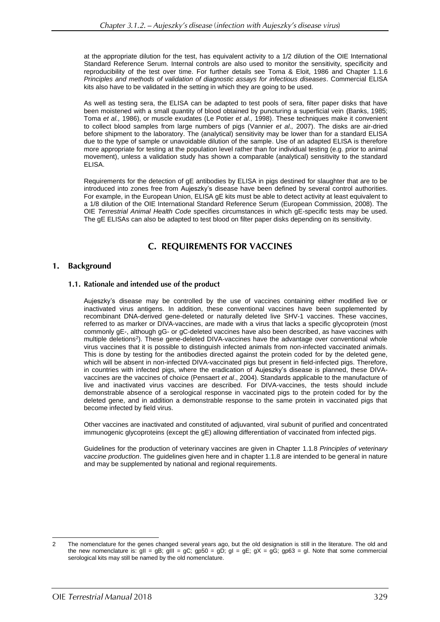at the appropriate dilution for the test, has equivalent activity to a 1/2 dilution of the OIE International Standard Reference Serum. Internal controls are also used to monitor the sensitivity, specificity and reproducibility of the test over time. For further details see Toma & Eloit, 1986 and Chapter 1.1.6 *Principles and methods of validation of diagnostic assays for infectious diseases*. Commercial ELISA kits also have to be validated in the setting in which they are going to be used.

As well as testing sera, the ELISA can be adapted to test pools of sera, filter paper disks that have been moistened with a small quantity of blood obtained by puncturing a superficial vein (Banks, 1985; Toma *et al.,* 1986), or muscle exudates (Le Potier *et al.,* 1998). These techniques make it convenient to collect blood samples from large numbers of pigs (Vannier *et al.,* 2007). The disks are air-dried before shipment to the laboratory. The (analytical) sensitivity may be lower than for a standard ELISA due to the type of sample or unavoidable dilution of the sample. Use of an adapted ELISA is therefore more appropriate for testing at the population level rather than for individual testing (e.g. prior to animal movement), unless a validation study has shown a comparable (analytical) sensitivity to the standard ELISA.

Requirements for the detection of gE antibodies by ELISA in pigs destined for slaughter that are to be introduced into zones free from Aujeszky's disease have been defined by several control authorities. For example, in the European Union, ELISA gE kits must be able to detect activity at least equivalent to a 1/8 dilution of the OIE International Standard Reference Serum (European Commission, 2008). The OIE *Terrestrial Animal Health Code* specifies circumstances in which gE-specific tests may be used. The gE ELISAs can also be adapted to test blood on filter paper disks depending on its sensitivity.

# **C. REQUIREMENTS FOR VACCINES**

#### 1. **Background**

### 1.1. Rationale and intended use of the product

Aujeszky's disease may be controlled by the use of vaccines containing either modified live or inactivated virus antigens. In addition, these conventional vaccines have been supplemented by recombinant DNA-derived gene-deleted or naturally deleted live SHV-1 vaccines. These vaccines, referred to as marker or DIVA-vaccines, are made with a virus that lacks a specific glycoprotein (most commonly gE-, although gG- or gC-deleted vaccines have also been described, as have vaccines with multiple deletions<sup>2</sup>). These gene-deleted DIVA-vaccines have the advantage over conventional whole virus vaccines that it is possible to distinguish infected animals from non-infected vaccinated animals. This is done by testing for the antibodies directed against the protein coded for by the deleted gene, which will be absent in non-infected DIVA-vaccinated pigs but present in field-infected pigs. Therefore, in countries with infected pigs, where the eradication of Aujeszky's disease is planned, these DIVAvaccines are the vaccines of choice (Pensaert *et al*., 2004). Standards applicable to the manufacture of live and inactivated virus vaccines are described. For DIVA-vaccines, the tests should include demonstrable absence of a serological response in vaccinated pigs to the protein coded for by the deleted gene, and in addition a demonstrable response to the same protein in vaccinated pigs that become infected by field virus.

Other vaccines are inactivated and constituted of adjuvanted, viral subunit of purified and concentrated immunogenic glycoproteins (except the gE) allowing differentiation of vaccinated from infected pigs.

Guidelines for the production of veterinary vaccines are given in Chapter 1.1.8 *Principles of veterinary vaccine production*. The guidelines given here and in chapter 1.1.8 are intended to be general in nature and may be supplemented by national and regional requirements.

<sup>2</sup> The nomenclature for the genes changed several years ago, but the old designation is still in the literature. The old and the new nomenclature is: gII = gB; gIII = gC; gp50 = gD; gI = gE; gX = gG; gp63 = gI. Note that some commercial serological kits may still be named by the old nomenclature.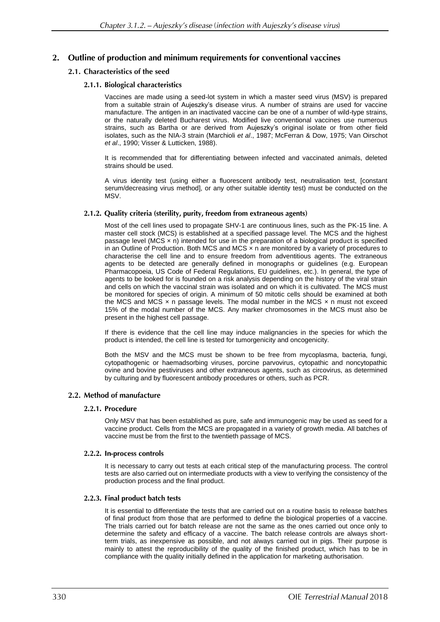# 2. Outline of production and minimum requirements for conventional vaccines

# 2.1. Characteristics of the seed

# 2.1.1. Biological characteristics

Vaccines are made using a seed-lot system in which a master seed virus (MSV) is prepared from a suitable strain of Aujeszky's disease virus. A number of strains are used for vaccine manufacture. The antigen in an inactivated vaccine can be one of a number of wild-type strains, or the naturally deleted Bucharest virus. Modified live conventional vaccines use numerous strains, such as Bartha or are derived from Aujeszky's original isolate or from other field isolates, such as the NIA-3 strain (Marchioli *et al*., 1987; McFerran & Dow, 1975; Van Oirschot *et al*., 1990; Visser & Lutticken, 1988).

It is recommended that for differentiating between infected and vaccinated animals, deleted strains should be used.

A virus identity test (using either a fluorescent antibody test, neutralisation test, [constant serum/decreasing virus method], or any other suitable identity test) must be conducted on the MSV.

### 2.1.2. Quality criteria (sterility, purity, freedom from extraneous agents)

Most of the cell lines used to propagate SHV-1 are continuous lines, such as the PK-15 line. A master cell stock (MCS) is established at a specified passage level. The MCS and the highest passage level ( $MCS \times n$ ) intended for use in the preparation of a biological product is specified in an Outline of Production. Both MCS and MCS  $\times$  n are monitored by a variety of procedures to characterise the cell line and to ensure freedom from adventitious agents. The extraneous agents to be detected are generally defined in monographs or guidelines (e.g. European Pharmacopoeia, US Code of Federal Regulations, EU guidelines, etc.). In general, the type of agents to be looked for is founded on a risk analysis depending on the history of the viral strain and cells on which the vaccinal strain was isolated and on which it is cultivated. The MCS must be monitored for species of origin. A minimum of 50 mitotic cells should be examined at both the MCS and MCS  $\times$  n passage levels. The modal number in the MCS  $\times$  n must not exceed 15% of the modal number of the MCS. Any marker chromosomes in the MCS must also be present in the highest cell passage.

If there is evidence that the cell line may induce malignancies in the species for which the product is intended, the cell line is tested for tumorgenicity and oncogenicity.

Both the MSV and the MCS must be shown to be free from mycoplasma, bacteria, fungi, cytopathogenic or haemadsorbing viruses, porcine parvovirus, cytopathic and noncytopathic ovine and bovine pestiviruses and other extraneous agents, such as circovirus, as determined by culturing and by fluorescent antibody procedures or others, such as PCR.

#### 2.2. Method of manufacture

#### 2.2.1. Procedure

Only MSV that has been established as pure, safe and immunogenic may be used as seed for a vaccine product. Cells from the MCS are propagated in a variety of growth media. All batches of vaccine must be from the first to the twentieth passage of MCS.

#### 2.2.2. In-process controls

It is necessary to carry out tests at each critical step of the manufacturing process. The control tests are also carried out on intermediate products with a view to verifying the consistency of the production process and the final product.

#### 2.2.3. Final product batch tests

It is essential to differentiate the tests that are carried out on a routine basis to release batches of final product from those that are performed to define the biological properties of a vaccine. The trials carried out for batch release are not the same as the ones carried out once only to determine the safety and efficacy of a vaccine. The batch release controls are always shortterm trials, as inexpensive as possible, and not always carried out in pigs. Their purpose is mainly to attest the reproducibility of the quality of the finished product, which has to be in compliance with the quality initially defined in the application for marketing authorisation.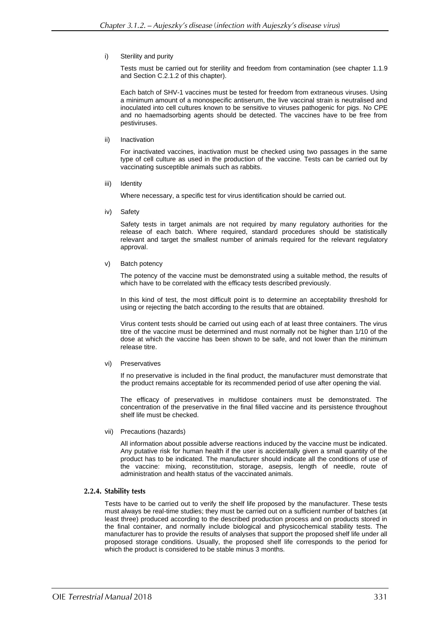i) Sterility and purity

Tests must be carried out for sterility and freedom from contamination (see chapter 1.1.9 and Section C.2.1.2 of this chapter).

Each batch of SHV-1 vaccines must be tested for freedom from extraneous viruses. Using a minimum amount of a monospecific antiserum, the live vaccinal strain is neutralised and inoculated into cell cultures known to be sensitive to viruses pathogenic for pigs. No CPE and no haemadsorbing agents should be detected. The vaccines have to be free from pestiviruses.

ii) Inactivation

For inactivated vaccines, inactivation must be checked using two passages in the same type of cell culture as used in the production of the vaccine. Tests can be carried out by vaccinating susceptible animals such as rabbits.

iii) Identity

Where necessary, a specific test for virus identification should be carried out.

iv) Safety

Safety tests in target animals are not required by many regulatory authorities for the release of each batch. Where required, standard procedures should be statistically relevant and target the smallest number of animals required for the relevant regulatory approval.

v) Batch potency

The potency of the vaccine must be demonstrated using a suitable method, the results of which have to be correlated with the efficacy tests described previously.

In this kind of test, the most difficult point is to determine an acceptability threshold for using or rejecting the batch according to the results that are obtained.

Virus content tests should be carried out using each of at least three containers. The virus titre of the vaccine must be determined and must normally not be higher than 1/10 of the dose at which the vaccine has been shown to be safe, and not lower than the minimum release titre.

vi) Preservatives

If no preservative is included in the final product, the manufacturer must demonstrate that the product remains acceptable for its recommended period of use after opening the vial.

The efficacy of preservatives in multidose containers must be demonstrated. The concentration of the preservative in the final filled vaccine and its persistence throughout shelf life must be checked.

vii) Precautions (hazards)

All information about possible adverse reactions induced by the vaccine must be indicated. Any putative risk for human health if the user is accidentally given a small quantity of the product has to be indicated. The manufacturer should indicate all the conditions of use of the vaccine: mixing, reconstitution, storage, asepsis, length of needle, route of administration and health status of the vaccinated animals.

#### 2.2.4. Stability tests

Tests have to be carried out to verify the shelf life proposed by the manufacturer. These tests must always be real-time studies; they must be carried out on a sufficient number of batches (at least three) produced according to the described production process and on products stored in the final container, and normally include biological and physicochemical stability tests. The manufacturer has to provide the results of analyses that support the proposed shelf life under all proposed storage conditions. Usually, the proposed shelf life corresponds to the period for which the product is considered to be stable minus 3 months.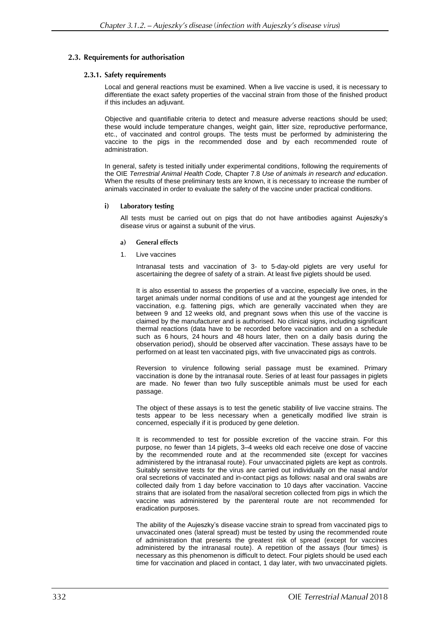### 2.3. Requirements for authorisation

#### 2.3.1. Safety requirements

Local and general reactions must be examined. When a live vaccine is used, it is necessary to differentiate the exact safety properties of the vaccinal strain from those of the finished product if this includes an adjuvant.

Objective and quantifiable criteria to detect and measure adverse reactions should be used; these would include temperature changes, weight gain, litter size, reproductive performance, etc., of vaccinated and control groups. The tests must be performed by administering the vaccine to the pigs in the recommended dose and by each recommended route of administration.

In general, safety is tested initially under experimental conditions, following the requirements of the OIE *Terrestrial Animal Health Code,* Chapter 7.8 *Use of animals in research and education*. When the results of these preliminary tests are known, it is necessary to increase the number of animals vaccinated in order to evaluate the safety of the vaccine under practical conditions.

#### **Laboratory testing** i)

All tests must be carried out on pigs that do not have antibodies against Aujeszky's disease virus or against a subunit of the virus.

- **General effects** a)
- 1. Live vaccines

Intranasal tests and vaccination of 3- to 5-day-old piglets are very useful for ascertaining the degree of safety of a strain. At least five piglets should be used.

It is also essential to assess the properties of a vaccine, especially live ones, in the target animals under normal conditions of use and at the youngest age intended for vaccination, e.g. fattening pigs, which are generally vaccinated when they are between 9 and 12 weeks old, and pregnant sows when this use of the vaccine is claimed by the manufacturer and is authorised. No clinical signs, including significant thermal reactions (data have to be recorded before vaccination and on a schedule such as 6 hours, 24 hours and 48 hours later, then on a daily basis during the observation period), should be observed after vaccination. These assays have to be performed on at least ten vaccinated pigs, with five unvaccinated pigs as controls.

Reversion to virulence following serial passage must be examined. Primary vaccination is done by the intranasal route. Series of at least four passages in piglets are made. No fewer than two fully susceptible animals must be used for each passage.

The object of these assays is to test the genetic stability of live vaccine strains. The tests appear to be less necessary when a genetically modified live strain is concerned, especially if it is produced by gene deletion.

It is recommended to test for possible excretion of the vaccine strain. For this purpose, no fewer than 14 piglets, 3–4 weeks old each receive one dose of vaccine by the recommended route and at the recommended site (except for vaccines administered by the intranasal route). Four unvaccinated piglets are kept as controls. Suitably sensitive tests for the virus are carried out individually on the nasal and/or oral secretions of vaccinated and in-contact pigs as follows: nasal and oral swabs are collected daily from 1 day before vaccination to 10 days after vaccination. Vaccine strains that are isolated from the nasal/oral secretion collected from pigs in which the vaccine was administered by the parenteral route are not recommended for eradication purposes.

The ability of the Aujeszky's disease vaccine strain to spread from vaccinated pigs to unvaccinated ones (lateral spread) must be tested by using the recommended route of administration that presents the greatest risk of spread (except for vaccines administered by the intranasal route). A repetition of the assays (four times) is necessary as this phenomenon is difficult to detect. Four piglets should be used each time for vaccination and placed in contact, 1 day later, with two unvaccinated piglets.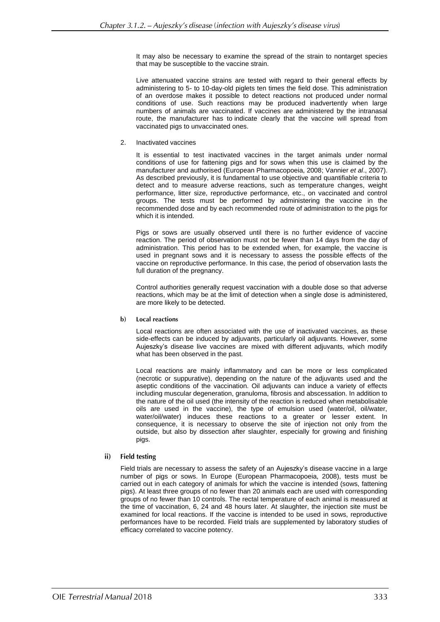It may also be necessary to examine the spread of the strain to nontarget species that may be susceptible to the vaccine strain.

Live attenuated vaccine strains are tested with regard to their general effects by administering to 5- to 10-day-old piglets ten times the field dose. This administration of an overdose makes it possible to detect reactions not produced under normal conditions of use. Such reactions may be produced inadvertently when large numbers of animals are vaccinated. If vaccines are administered by the intranasal route, the manufacturer has to indicate clearly that the vaccine will spread from vaccinated pigs to unvaccinated ones.

#### 2. Inactivated vaccines

It is essential to test inactivated vaccines in the target animals under normal conditions of use for fattening pigs and for sows when this use is claimed by the manufacturer and authorised (European Pharmacopoeia, 2008; Vannier *et al*., 2007). As described previously, it is fundamental to use objective and quantifiable criteria to detect and to measure adverse reactions, such as temperature changes, weight performance, litter size, reproductive performance, etc., on vaccinated and control groups. The tests must be performed by administering the vaccine in the recommended dose and by each recommended route of administration to the pigs for which it is intended.

Pigs or sows are usually observed until there is no further evidence of vaccine reaction. The period of observation must not be fewer than 14 days from the day of administration. This period has to be extended when, for example, the vaccine is used in pregnant sows and it is necessary to assess the possible effects of the vaccine on reproductive performance. In this case, the period of observation lasts the full duration of the pregnancy.

Control authorities generally request vaccination with a double dose so that adverse reactions, which may be at the limit of detection when a single dose is administered, are more likely to be detected.

#### **Local reactions**  $<sub>b</sub>$ </sub>

Local reactions are often associated with the use of inactivated vaccines, as these side-effects can be induced by adjuvants, particularly oil adjuvants. However, some Aujeszky's disease live vaccines are mixed with different adjuvants, which modify what has been observed in the past.

Local reactions are mainly inflammatory and can be more or less complicated (necrotic or suppurative), depending on the nature of the adjuvants used and the aseptic conditions of the vaccination. Oil adjuvants can induce a variety of effects including muscular degeneration, granuloma, fibrosis and abscessation. In addition to the nature of the oil used (the intensity of the reaction is reduced when metabolisable oils are used in the vaccine), the type of emulsion used (water/oil, oil/water, water/oil/water) induces these reactions to a greater or lesser extent. In consequence, it is necessary to observe the site of injection not only from the outside, but also by dissection after slaughter, especially for growing and finishing pigs.

#### $\mathbf{ii}$ **Field testing**

Field trials are necessary to assess the safety of an Aujeszky's disease vaccine in a large number of pigs or sows. In Europe (European Pharmacopoeia, 2008), tests must be carried out in each category of animals for which the vaccine is intended (sows, fattening pigs). At least three groups of no fewer than 20 animals each are used with corresponding groups of no fewer than 10 controls. The rectal temperature of each animal is measured at the time of vaccination, 6, 24 and 48 hours later. At slaughter, the injection site must be examined for local reactions. If the vaccine is intended to be used in sows, reproductive performances have to be recorded. Field trials are supplemented by laboratory studies of efficacy correlated to vaccine potency.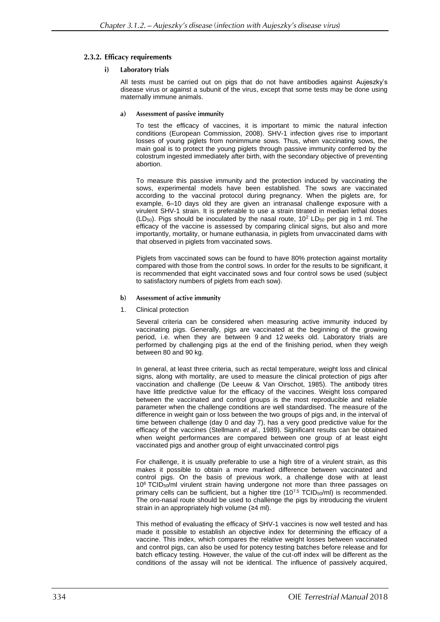### 2.3.2. Efficacy requirements

#### $i)$ **Laboratory trials**

All tests must be carried out on pigs that do not have antibodies against Aujeszky's disease virus or against a subunit of the virus, except that some tests may be done using maternally immune animals.

Assessment of passive immunity a)

> To test the efficacy of vaccines, it is important to mimic the natural infection conditions (European Commission, 2008). SHV-1 infection gives rise to important losses of young piglets from nonimmune sows. Thus, when vaccinating sows, the main goal is to protect the young piglets through passive immunity conferred by the colostrum ingested immediately after birth, with the secondary objective of preventing abortion.

> To measure this passive immunity and the protection induced by vaccinating the sows, experimental models have been established. The sows are vaccinated according to the vaccinal protocol during pregnancy. When the piglets are, for example, 6–10 days old they are given an intranasal challenge exposure with a virulent SHV-1 strain. It is preferable to use a strain titrated in median lethal doses (LD $_{50}$ ). Pigs should be inoculated by the nasal route, 10<sup>2</sup> LD $_{50}$  per pig in 1 ml. The efficacy of the vaccine is assessed by comparing clinical signs, but also and more importantly, mortality, or humane euthanasia, in piglets from unvaccinated dams with that observed in piglets from vaccinated sows.

> Piglets from vaccinated sows can be found to have 80% protection against mortality compared with those from the control sows. In order for the results to be significant, it is recommended that eight vaccinated sows and four control sows be used (subject to satisfactory numbers of piglets from each sow).

- Assessment of active immunity  $\mathbf{b}$
- 1. Clinical protection

Several criteria can be considered when measuring active immunity induced by vaccinating pigs. Generally, pigs are vaccinated at the beginning of the growing period, i.e. when they are between 9 and 12 weeks old. Laboratory trials are performed by challenging pigs at the end of the finishing period, when they weigh between 80 and 90 kg.

In general, at least three criteria, such as rectal temperature, weight loss and clinical signs, along with mortality, are used to measure the clinical protection of pigs after vaccination and challenge (De Leeuw & Van Oirschot, 1985). The antibody titres have little predictive value for the efficacy of the vaccines. Weight loss compared between the vaccinated and control groups is the most reproducible and reliable parameter when the challenge conditions are well standardised. The measure of the difference in weight gain or loss between the two groups of pigs and, in the interval of time between challenge (day 0 and day 7), has a very good predictive value for the efficacy of the vaccines (Stellmann *et al*., 1989). Significant results can be obtained when weight performances are compared between one group of at least eight vaccinated pigs and another group of eight unvaccinated control pigs

For challenge, it is usually preferable to use a high titre of a virulent strain, as this makes it possible to obtain a more marked difference between vaccinated and control pigs. On the basis of previous work, a challenge dose with at least  $10<sup>6</sup>$  TCID<sub>50</sub>/ml virulent strain having undergone not more than three passages on primary cells can be sufficient, but a higher titre (10<sup>7.5</sup> TCID<sub>50</sub>/ml) is recommended. The oro-nasal route should be used to challenge the pigs by introducing the virulent strain in an appropriately high volume (≥4 ml).

This method of evaluating the efficacy of SHV-1 vaccines is now well tested and has made it possible to establish an objective index for determining the efficacy of a vaccine. This index, which compares the relative weight losses between vaccinated and control pigs, can also be used for potency testing batches before release and for batch efficacy testing. However, the value of the cut-off index will be different as the conditions of the assay will not be identical. The influence of passively acquired,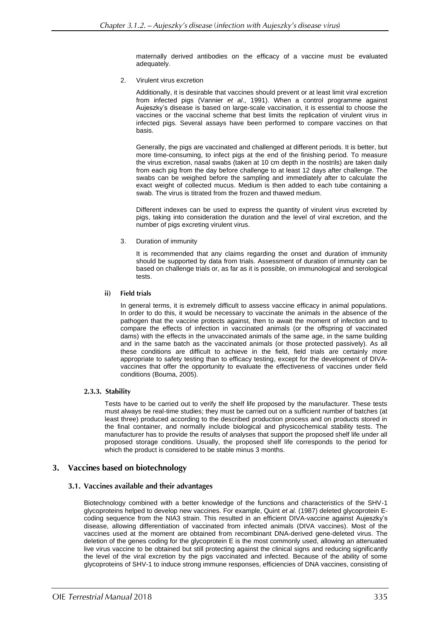maternally derived antibodies on the efficacy of a vaccine must be evaluated adequately.

2. Virulent virus excretion

Additionally, it is desirable that vaccines should prevent or at least limit viral excretion from infected pigs (Vannier *et al*., 1991). When a control programme against Aujeszky's disease is based on large-scale vaccination, it is essential to choose the vaccines or the vaccinal scheme that best limits the replication of virulent virus in infected pigs. Several assays have been performed to compare vaccines on that basis.

Generally, the pigs are vaccinated and challenged at different periods. It is better, but more time-consuming, to infect pigs at the end of the finishing period. To measure the virus excretion, nasal swabs (taken at 10 cm depth in the nostrils) are taken daily from each pig from the day before challenge to at least 12 days after challenge. The swabs can be weighed before the sampling and immediately after to calculate the exact weight of collected mucus. Medium is then added to each tube containing a swab. The virus is titrated from the frozen and thawed medium.

Different indexes can be used to express the quantity of virulent virus excreted by pigs, taking into consideration the duration and the level of viral excretion, and the number of pigs excreting virulent virus.

3. Duration of immunity

It is recommended that any claims regarding the onset and duration of immunity should be supported by data from trials. Assessment of duration of immunity can be based on challenge trials or, as far as it is possible, on immunological and serological tests.

#### ii) **Field trials**

In general terms, it is extremely difficult to assess vaccine efficacy in animal populations. In order to do this, it would be necessary to vaccinate the animals in the absence of the pathogen that the vaccine protects against, then to await the moment of infection and to compare the effects of infection in vaccinated animals (or the offspring of vaccinated dams) with the effects in the unvaccinated animals of the same age, in the same building and in the same batch as the vaccinated animals (or those protected passively). As all these conditions are difficult to achieve in the field, field trials are certainly more appropriate to safety testing than to efficacy testing, except for the development of DIVAvaccines that offer the opportunity to evaluate the effectiveness of vaccines under field conditions (Bouma, 2005).

# 2.3.3. Stability

Tests have to be carried out to verify the shelf life proposed by the manufacturer. These tests must always be real-time studies; they must be carried out on a sufficient number of batches (at least three) produced according to the described production process and on products stored in the final container, and normally include biological and physicochemical stability tests. The manufacturer has to provide the results of analyses that support the proposed shelf life under all proposed storage conditions. Usually, the proposed shelf life corresponds to the period for which the product is considered to be stable minus 3 months.

# 3. Vaccines based on biotechnology

# 3.1. Vaccines available and their advantages

Biotechnology combined with a better knowledge of the functions and characteristics of the SHV-1 glycoproteins helped to develop new vaccines. For example, Quint *et al.* (1987) deleted glycoprotein Ecoding sequence from the NIA3 strain. This resulted in an efficient DIVA-vaccine against Aujeszky's disease, allowing differentiation of vaccinated from infected animals (DIVA vaccines). Most of the vaccines used at the moment are obtained from recombinant DNA-derived gene-deleted virus. The deletion of the genes coding for the glycoprotein E is the most commonly used, allowing an attenuated live virus vaccine to be obtained but still protecting against the clinical signs and reducing significantly the level of the viral excretion by the pigs vaccinated and infected. Because of the ability of some glycoproteins of SHV-1 to induce strong immune responses, efficiencies of DNA vaccines, consisting of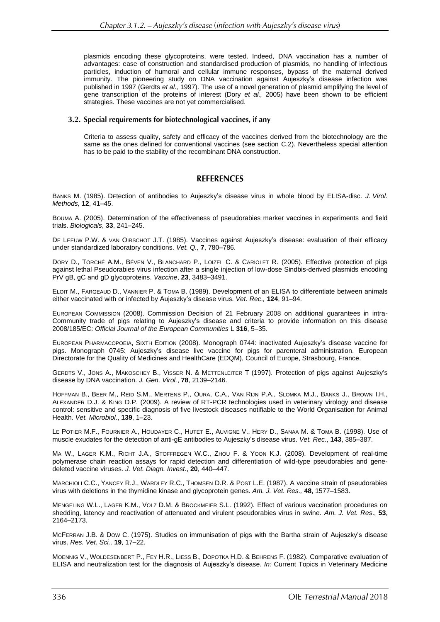plasmids encoding these glycoproteins, were tested. Indeed, DNA vaccination has a number of advantages: ease of construction and standardised production of plasmids, no handling of infectious particles, induction of humoral and cellular immune responses, bypass of the maternal derived immunity. The pioneering study on DNA vaccination against Aujeszky's disease infection was published in 1997 (Gerdts *et al.,* 1997). The use of a novel generation of plasmid amplifying the level of gene transcription of the proteins of interest (Dory *et al.,* 2005) have been shown to be efficient strategies. These vaccines are not yet commercialised.

### 3.2. Special requirements for biotechnological vaccines, if any

Criteria to assess quality, safety and efficacy of the vaccines derived from the biotechnology are the same as the ones defined for conventional vaccines (see section C.2). Nevertheless special attention has to be paid to the stability of the recombinant DNA construction.

# **REFERENCES**

BANKS M. (1985). DEtection of antibodies to Aujeszky's disease virus in whole blood by ELISA-disc. *J. Virol. Methods,* **12**, 41–45.

BOUMA A. (2005). Determination of the effectiveness of pseudorabies marker vaccines in experiments and field trials. *Biologicals*, **33**, 241–245.

DE LEEUW P.W. & VAN OIRSCHOT J.T. (1985). Vaccines against Aujeszky's disease: evaluation of their efficacy under standardized laboratory conditions. *Vet. Q.,* **7**, 780–786.

DORY D., TORCHÉ A.M., BÉVEN V., BLANCHARD P., LOIZEL C. & CARIOLET R. (2005). Effective protection of pigs against lethal Pseudorabies virus infection after a single injection of low-dose Sindbis-derived plasmids encoding PrV gB, gC and gD glycoproteins. *Vaccine*, **23**, 3483–3491.

ELOIT M., FARGEAUD D., VANNIER P. & TOMA B. (1989). Development of an ELISA to differentiate between animals either vaccinated with or infected by Aujeszky's disease virus. *Vet. Rec.,* **124**, 91–94.

EUROPEAN COMMISSION (2008). Commission Decision of 21 February 2008 on additional guarantees in intra-Community trade of pigs relating to Aujeszky's disease and criteria to provide information on this disease 2008/185/EC: *Official Journal of the European Communities* L **316**, 5–35.

EUROPEAN PHARMACOPOEIA, SIXTH EDITION (2008). Monograph 0744: inactivated Aujeszky's disease vaccine for pigs. Monograph 0745: Aujeszky's disease live vaccine for pigs for parenteral administration. European Directorate for the Quality of Medicines and HealthCare (EDQM), Council of Europe, Strasbourg, France.

GERDTS V., JÖNS A., MAKOSCHEY B., VISSER N. & METTENLEITER T (1997). Protection of pigs against Aujeszky's disease by DNA vaccination. *J. Gen. Virol.*, **78**, 2139–2146.

HOFFMAN B., BEER M., REID S.M., MERTENS P., OURA, C.A., VAN RIJN P.A., SLOMKA M.J., BANKS J., BROWN I.H., ALEXANDER D.J. & KING D.P. (2009). A review of RT-PCR technologies used in veterinary virology and disease control: sensitive and specific diagnosis of five livestock diseases notifiable to the World Organisation for Animal Health. *Vet. Microbiol*., **139**, 1–23.

LE POTIER M.F., FOURNIER A., HOUDAYER C., HUTET E., AUVIGNE V., HERY D., SANAA M. & TOMA B. (1998). Use of muscle exudates for the detection of anti-gE antibodies to Aujeszky's disease virus. *Vet. Rec*., **143**, 385–387.

MA W., LAGER K.M., RICHT J.A., STOFFREGEN W.C., ZHOU F. & YOON K.J. (2008). [Development of real-time](http://www.ncbi.nlm.nih.gov/pubmed/18599848)  [polymerase chain reaction assays for rapid detection and differentiation of wild-type pseudorabies and gene](http://www.ncbi.nlm.nih.gov/pubmed/18599848)[deleted vaccine viruses.](http://www.ncbi.nlm.nih.gov/pubmed/18599848) *J. Vet. Diagn. Invest*., **20**, 440–447.

MARCHIOLI C.C., YANCEY R.J., WARDLEY R.C., THOMSEN D.R. & POST L.E. (1987). A vaccine strain of pseudorabies virus with deletions in the thymidine kinase and glycoprotein genes. *Am. J. Vet. Res.,* **48**, 1577–1583.

MENGELING W.L., LAGER K.M., VOLZ D.M. & BROCKMEIER S.L. (1992). Effect of various vaccination procedures on shedding, latency and reactivation of attenuated and virulent pseudorabies virus in swine. *Am. J. Vet. Res*., **53**, 2164–2173.

MCFERRAN J.B. & DOW C. (1975). Studies on immunisation of pigs with the Bartha strain of Aujeszky's disease virus. *Res. Vet. Sci.,* **19**, 17–22.

MOENNIG V., WOLDESENBERT P., FEY H.R., LIESS B., DOPOTKA H.D. & BEHRENS F. (1982). Comparative evaluation of ELISA and neutralization test for the diagnosis of Aujeszky's disease. *In:* Current Topics in Veterinary Medicine